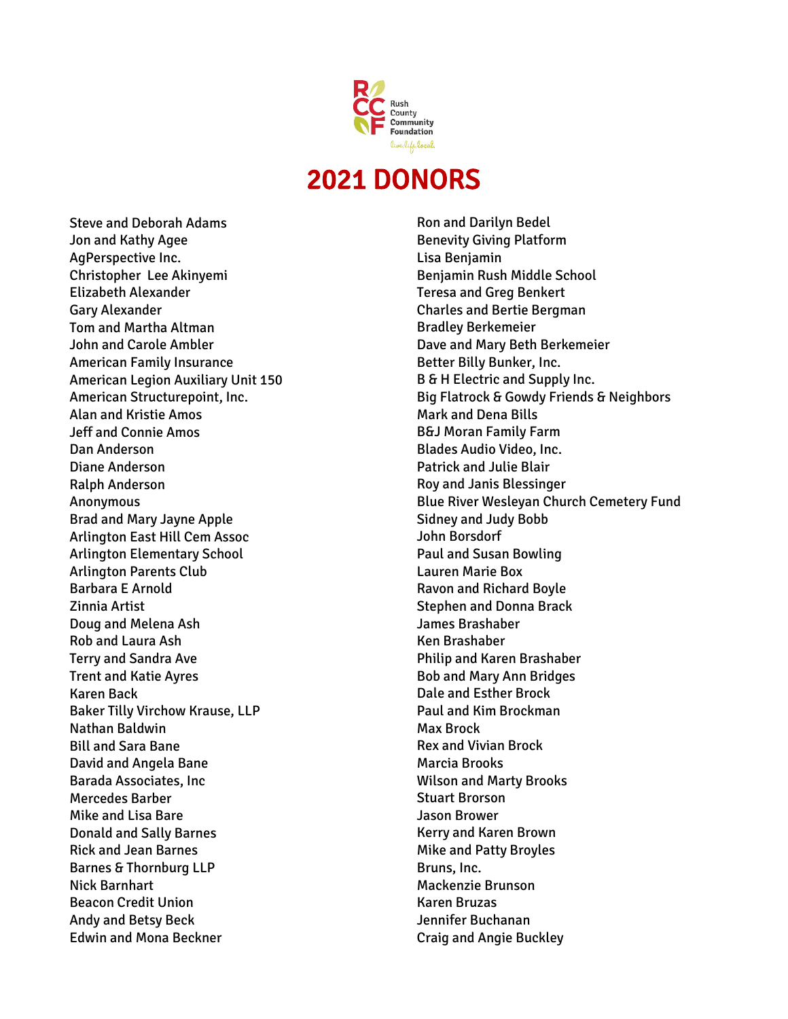

## 2021 DONORS

Steve and Deborah Adams Jon and Kathy Agee AgPerspective Inc. Christopher Lee Akinyemi Elizabeth Alexander Gary Alexander Tom and Martha Altman John and Carole Ambler American Family Insurance American Legion Auxiliary Unit 150 American Structurepoint, Inc. Alan and Kristie Amos Jeff and Connie Amos Dan Anderson Diane Anderson Ralph Anderson Anonymous Brad and Mary Jayne Apple Arlington East Hill Cem Assoc Arlington Elementary School Arlington Parents Club Barbara E Arnold Zinnia Artist Doug and Melena Ash Rob and Laura Ash Terry and Sandra Ave Trent and Katie Ayres Karen Back Baker Tilly Virchow Krause, LLP Nathan Baldwin Bill and Sara Bane David and Angela Bane Barada Associates, Inc Mercedes Barber Mike and Lisa Bare Donald and Sally Barnes Rick and Jean Barnes Barnes & Thornburg LLP Nick Barnhart Beacon Credit Union Andy and Betsy Beck Edwin and Mona Beckner

Ron and Darilyn Bedel Benevity Giving Platform Lisa Benjamin Benjamin Rush Middle School Teresa and Greg Benkert Charles and Bertie Bergman Bradley Berkemeier Dave and Mary Beth Berkemeier Better Billy Bunker, Inc. B & H Electric and Supply Inc. Big Flatrock & Gowdy Friends & Neighbors Mark and Dena Bills B&J Moran Family Farm Blades Audio Video, Inc. Patrick and Julie Blair Roy and Janis Blessinger Blue River Wesleyan Church Cemetery Fund Sidney and Judy Bobb John Borsdorf Paul and Susan Bowling Lauren Marie Box Ravon and Richard Boyle Stephen and Donna Brack James Brashaber Ken Brashaber Philip and Karen Brashaber Bob and Mary Ann Bridges Dale and Esther Brock Paul and Kim Brockman Max Brock Rex and Vivian Brock Marcia Brooks Wilson and Marty Brooks Stuart Brorson Jason Brower Kerry and Karen Brown Mike and Patty Broyles Bruns, Inc. Mackenzie Brunson Karen Bruzas Jennifer Buchanan

Craig and Angie Buckley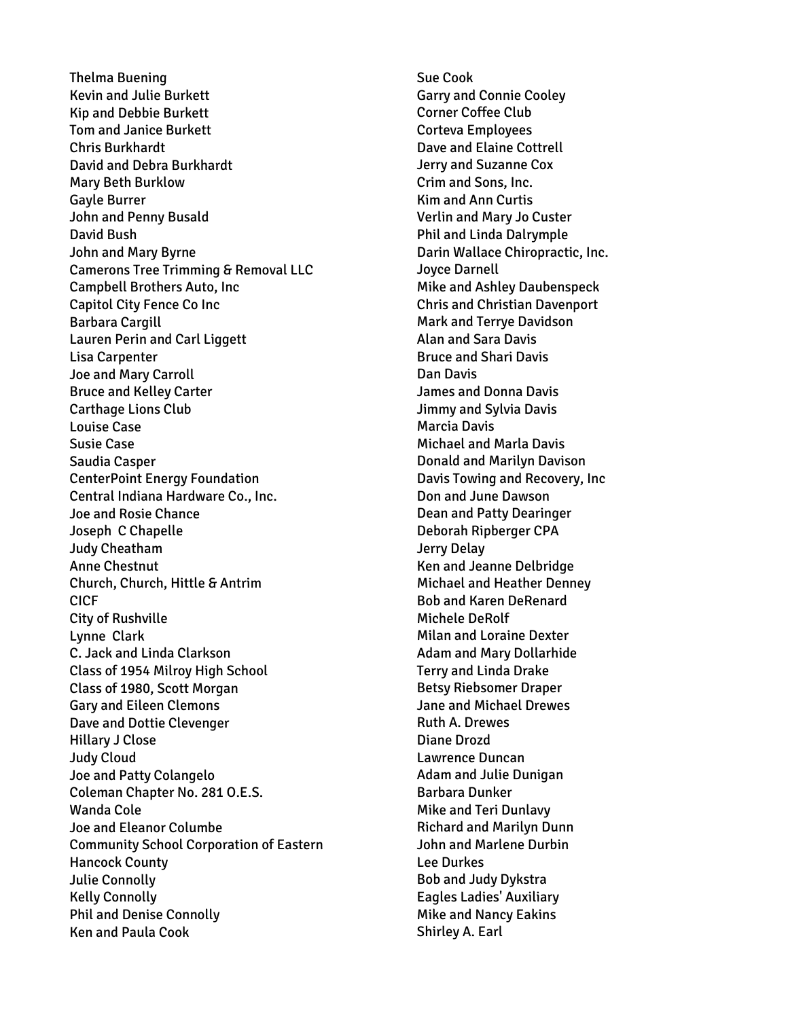Thelma Buening Kevin and Julie Burkett Kip and Debbie Burkett Tom and Janice Burkett Chris Burkhardt David and Debra Burkhardt Mary Beth Burklow Gayle Burrer John and Penny Busald David Bush John and Mary Byrne Camerons Tree Trimming & Removal LLC Campbell Brothers Auto, Inc Capitol City Fence Co Inc Barbara Cargill Lauren Perin and Carl Liggett Lisa Carpenter Joe and Mary Carroll Bruce and Kelley Carter Carthage Lions Club Louise Case Susie Case Saudia Casper CenterPoint Energy Foundation Central Indiana Hardware Co., Inc. Joe and Rosie Chance Joseph C Chapelle Judy Cheatham Anne Chestnut Church, Church, Hittle & Antrim CICF City of Rushville Lynne Clark C. Jack and Linda Clarkson Class of 1954 Milroy High School Class of 1980, Scott Morgan Gary and Eileen Clemons Dave and Dottie Clevenger Hillary J Close Judy Cloud Joe and Patty Colangelo Coleman Chapter No. 281 O.E.S. Wanda Cole Joe and Eleanor Columbe Community School Corporation of Eastern Hancock County Julie Connolly Kelly Connolly Phil and Denise Connolly Ken and Paula Cook

Sue Cook Garry and Connie Cooley Corner Coffee Club Corteva Employees Dave and Elaine Cottrell Jerry and Suzanne Cox Crim and Sons, Inc. Kim and Ann Curtis Verlin and Mary Jo Custer Phil and Linda Dalrymple Darin Wallace Chiropractic, Inc. Joyce Darnell Mike and Ashley Daubenspeck Chris and Christian Davenport Mark and Terrye Davidson Alan and Sara Davis Bruce and Shari Davis Dan Davis James and Donna Davis Jimmy and Sylvia Davis Marcia Davis Michael and Marla Davis Donald and Marilyn Davison Davis Towing and Recovery, Inc Don and June Dawson Dean and Patty Dearinger Deborah Ripberger CPA Jerry Delay Ken and Jeanne Delbridge Michael and Heather Denney Bob and Karen DeRenard Michele DeRolf Milan and Loraine Dexter Adam and Mary Dollarhide Terry and Linda Drake Betsy Riebsomer Draper Jane and Michael Drewes Ruth A. Drewes Diane Drozd Lawrence Duncan Adam and Julie Dunigan Barbara Dunker Mike and Teri Dunlavy Richard and Marilyn Dunn John and Marlene Durbin Lee Durkes Bob and Judy Dykstra Eagles Ladies' Auxiliary Mike and Nancy Eakins Shirley A. Earl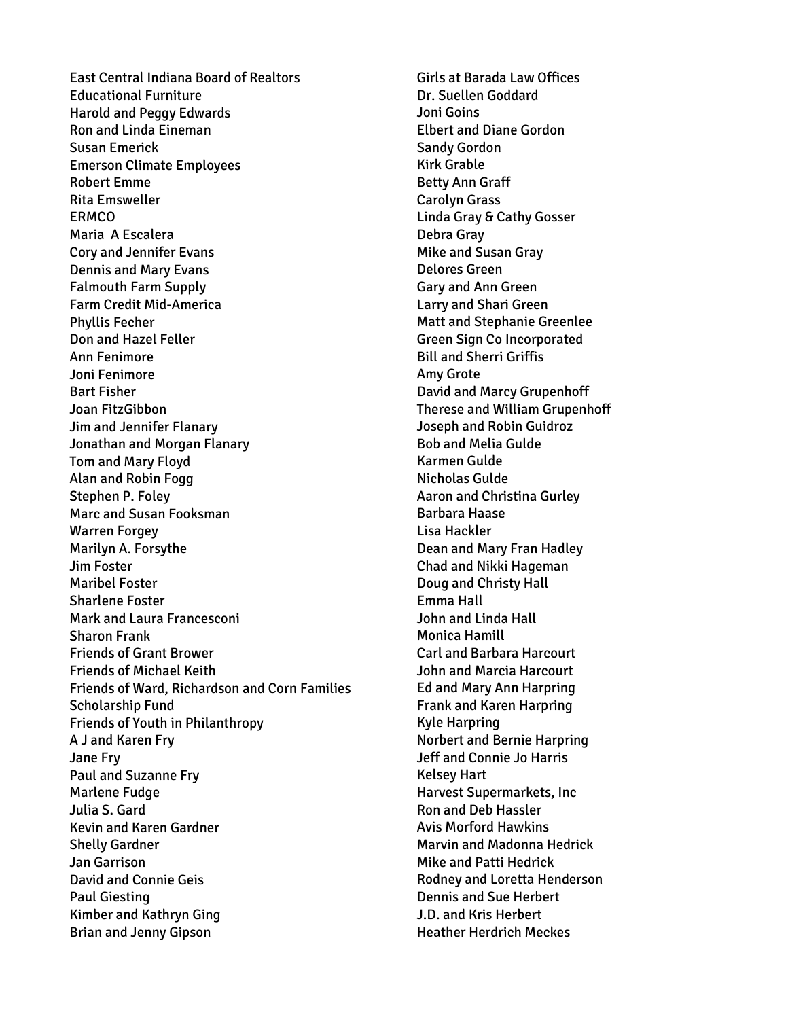East Central Indiana Board of Realtors Educational Furniture Harold and Peggy Edwards Ron and Linda Eineman Susan Emerick Emerson Climate Employees Robert Emme Rita Emsweller ERMCO Maria A Escalera Cory and Jennifer Evans Dennis and Mary Evans Falmouth Farm Supply Farm Credit Mid-America Phyllis Fecher Don and Hazel Feller Ann Fenimore Joni Fenimore Bart Fisher Joan FitzGibbon Jim and Jennifer Flanary Jonathan and Morgan Flanary Tom and Mary Floyd Alan and Robin Fogg Stephen P. Foley Marc and Susan Fooksman Warren Forgey Marilyn A. Forsythe Jim Foster Maribel Foster Sharlene Foster Mark and Laura Francesconi Sharon Frank Friends of Grant Brower Friends of Michael Keith Friends of Ward, Richardson and Corn Families Scholarship Fund Friends of Youth in Philanthropy A J and Karen Fry Jane Fry Paul and Suzanne Fry Marlene Fudge Julia S. Gard Kevin and Karen Gardner Shelly Gardner Jan Garrison David and Connie Geis Paul Giesting Kimber and Kathryn Ging Brian and Jenny Gipson

Girls at Barada Law Offices Dr. Suellen Goddard Joni Goins Elbert and Diane Gordon Sandy Gordon Kirk Grable Betty Ann Graff Carolyn Grass Linda Gray & Cathy Gosser Debra Gray Mike and Susan Gray Delores Green Gary and Ann Green Larry and Shari Green Matt and Stephanie Greenlee Green Sign Co Incorporated Bill and Sherri Griffis Amy Grote David and Marcy Grupenhoff Therese and William Grupenhoff Joseph and Robin Guidroz Bob and Melia Gulde Karmen Gulde Nicholas Gulde Aaron and Christina Gurley Barbara Haase Lisa Hackler Dean and Mary Fran Hadley Chad and Nikki Hageman Doug and Christy Hall Emma Hall John and Linda Hall Monica Hamill Carl and Barbara Harcourt John and Marcia Harcourt Ed and Mary Ann Harpring Frank and Karen Harpring Kyle Harpring Norbert and Bernie Harpring Jeff and Connie Jo Harris Kelsey Hart Harvest Supermarkets, Inc Ron and Deb Hassler Avis Morford Hawkins Marvin and Madonna Hedrick Mike and Patti Hedrick Rodney and Loretta Henderson Dennis and Sue Herbert J.D. and Kris Herbert Heather Herdrich Meckes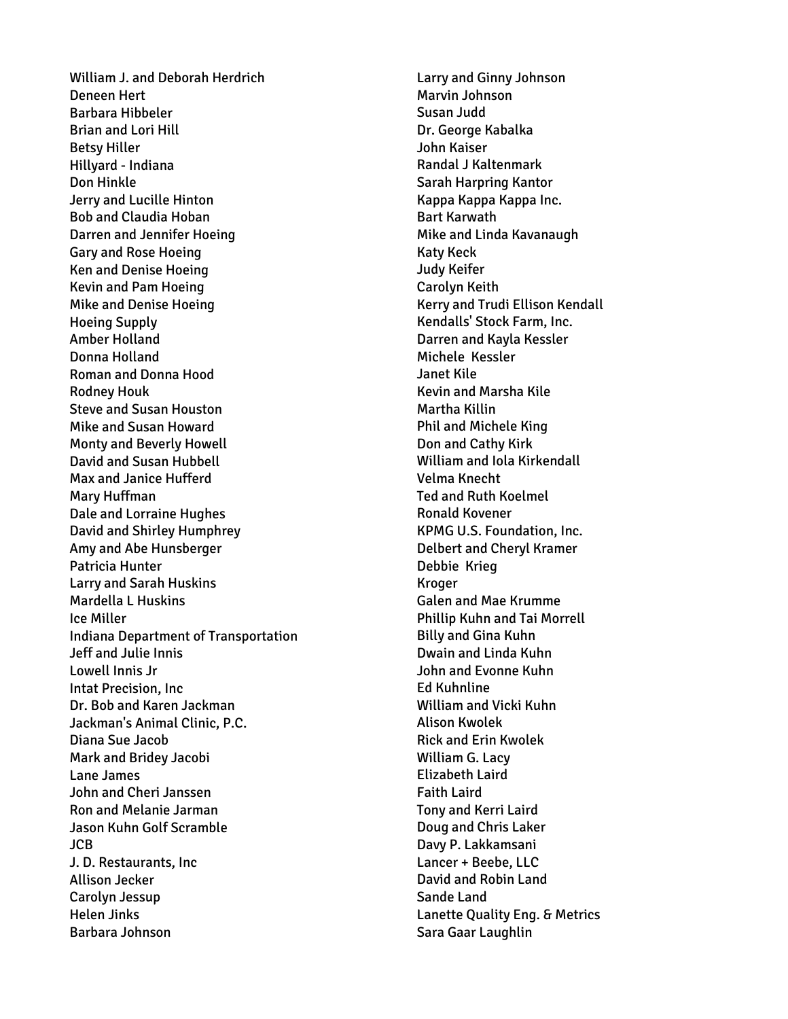William J. and Deborah Herdrich Deneen Hert Barbara Hibbeler Brian and Lori Hill Betsy Hiller Hillyard - Indiana Don Hinkle Jerry and Lucille Hinton Bob and Claudia Hoban Darren and Jennifer Hoeing Gary and Rose Hoeing Ken and Denise Hoeing Kevin and Pam Hoeing Mike and Denise Hoeing Hoeing Supply Amber Holland Donna Holland Roman and Donna Hood Rodney Houk Steve and Susan Houston Mike and Susan Howard Monty and Beverly Howell David and Susan Hubbell Max and Janice Hufferd Mary Huffman Dale and Lorraine Hughes David and Shirley Humphrey Amy and Abe Hunsberger Patricia Hunter Larry and Sarah Huskins Mardella L Huskins Ice Miller Indiana Department of Transportation Jeff and Julie Innis Lowell Innis Jr Intat Precision, Inc Dr. Bob and Karen Jackman Jackman's Animal Clinic, P.C. Diana Sue Jacob Mark and Bridey Jacobi Lane James John and Cheri Janssen Ron and Melanie Jarman Jason Kuhn Golf Scramble JCB J. D. Restaurants, Inc Allison Jecker Carolyn Jessup Helen Jinks Barbara Johnson

Larry and Ginny Johnson Marvin Johnson Susan Judd Dr. George Kabalka John Kaiser Randal J Kaltenmark Sarah Harpring Kantor Kappa Kappa Kappa Inc. Bart Karwath Mike and Linda Kavanaugh Katy Keck Judy Keifer Carolyn Keith Kerry and Trudi Ellison Kendall Kendalls' Stock Farm, Inc. Darren and Kayla Kessler Michele Kessler Janet Kile Kevin and Marsha Kile Martha Killin Phil and Michele King Don and Cathy Kirk William and Iola Kirkendall Velma Knecht Ted and Ruth Koelmel Ronald Kovener KPMG U.S. Foundation, Inc. Delbert and Cheryl Kramer Debbie Krieg Kroger Galen and Mae Krumme Phillip Kuhn and Tai Morrell Billy and Gina Kuhn Dwain and Linda Kuhn John and Evonne Kuhn Ed Kuhnline William and Vicki Kuhn Alison Kwolek Rick and Erin Kwolek William G. Lacy Elizabeth Laird Faith Laird Tony and Kerri Laird Doug and Chris Laker Davy P. Lakkamsani Lancer + Beebe, LLC David and Robin Land Sande Land Lanette Quality Eng. & Metrics Sara Gaar Laughlin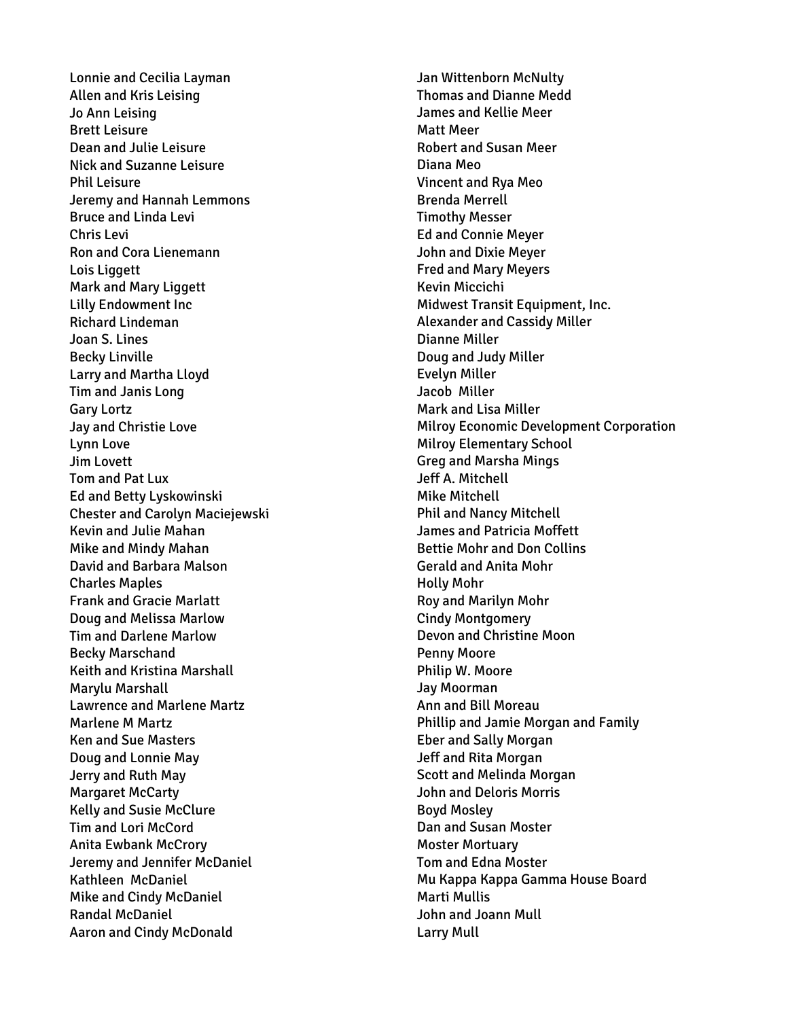Lonnie and Cecilia Layman Allen and Kris Leising Jo Ann Leising Brett Leisure Dean and Julie Leisure Nick and Suzanne Leisure Phil Leisure Jeremy and Hannah Lemmons Bruce and Linda Levi Chris Levi Ron and Cora Lienemann Lois Liggett Mark and Mary Liggett Lilly Endowment Inc Richard Lindeman Joan S. Lines Becky Linville Larry and Martha Lloyd Tim and Janis Long Gary Lortz Jay and Christie Love Lynn Love Jim Lovett Tom and Pat Lux Ed and Betty Lyskowinski Chester and Carolyn Maciejewski Kevin and Julie Mahan Mike and Mindy Mahan David and Barbara Malson Charles Maples Frank and Gracie Marlatt Doug and Melissa Marlow Tim and Darlene Marlow Becky Marschand Keith and Kristina Marshall Marylu Marshall Lawrence and Marlene Martz Marlene M Martz Ken and Sue Masters Doug and Lonnie May Jerry and Ruth May Margaret McCarty Kelly and Susie McClure Tim and Lori McCord Anita Ewbank McCrory Jeremy and Jennifer McDaniel Kathleen McDaniel Mike and Cindy McDaniel Randal McDaniel Aaron and Cindy McDonald

Jan Wittenborn McNulty Thomas and Dianne Medd James and Kellie Meer Matt Meer Robert and Susan Meer Diana Meo Vincent and Rya Meo Brenda Merrell Timothy Messer Ed and Connie Meyer John and Dixie Meyer Fred and Mary Meyers Kevin Miccichi Midwest Transit Equipment, Inc. Alexander and Cassidy Miller Dianne Miller Doug and Judy Miller Evelyn Miller Jacob Miller Mark and Lisa Miller Milroy Economic Development Corporation Milroy Elementary School Greg and Marsha Mings Jeff A. Mitchell Mike Mitchell Phil and Nancy Mitchell James and Patricia Moffett Bettie Mohr and Don Collins Gerald and Anita Mohr Holly Mohr Roy and Marilyn Mohr Cindy Montgomery Devon and Christine Moon Penny Moore Philip W. Moore Jay Moorman Ann and Bill Moreau Phillip and Jamie Morgan and Family Eber and Sally Morgan Jeff and Rita Morgan Scott and Melinda Morgan John and Deloris Morris Boyd Mosley Dan and Susan Moster Moster Mortuary Tom and Edna Moster Mu Kappa Kappa Gamma House Board Marti Mullis John and Joann Mull Larry Mull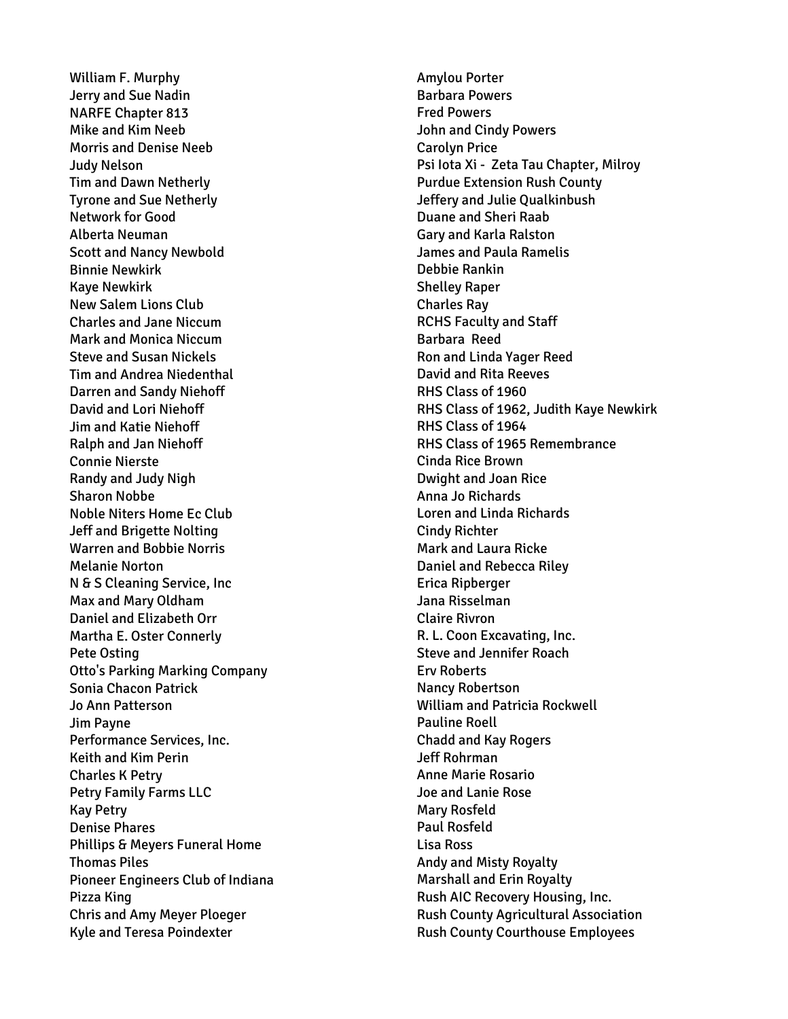William F. Murphy Jerry and Sue Nadin NARFE Chapter 813 Mike and Kim Neeb Morris and Denise Neeb Judy Nelson Tim and Dawn Netherly Tyrone and Sue Netherly Network for Good Alberta Neuman Scott and Nancy Newbold Binnie Newkirk Kaye Newkirk New Salem Lions Club Charles and Jane Niccum Mark and Monica Niccum Steve and Susan Nickels Tim and Andrea Niedenthal Darren and Sandy Niehoff David and Lori Niehoff Jim and Katie Niehoff Ralph and Jan Niehoff Connie Nierste Randy and Judy Nigh Sharon Nobbe Noble Niters Home Ec Club Jeff and Brigette Nolting Warren and Bobbie Norris Melanie Norton N & S Cleaning Service, Inc Max and Mary Oldham Daniel and Elizabeth Orr Martha E. Oster Connerly Pete Osting Otto's Parking Marking Company Sonia Chacon Patrick Jo Ann Patterson Jim Payne Performance Services, Inc. Keith and Kim Perin Charles K Petry Petry Family Farms LLC Kay Petry Denise Phares Phillips & Meyers Funeral Home Thomas Piles Pioneer Engineers Club of Indiana Pizza King Chris and Amy Meyer Ploeger Kyle and Teresa Poindexter

Amylou Porter Barbara Powers Fred Powers John and Cindy Powers Carolyn Price Psi Iota Xi - Zeta Tau Chapter, Milroy Purdue Extension Rush County Jeffery and Julie Qualkinbush Duane and Sheri Raab Gary and Karla Ralston James and Paula Ramelis Debbie Rankin Shelley Raper Charles Ray RCHS Faculty and Staff Barbara Reed Ron and Linda Yager Reed David and Rita Reeves RHS Class of 1960 RHS Class of 1962, Judith Kaye Newkirk RHS Class of 1964 RHS Class of 1965 Remembrance Cinda Rice Brown Dwight and Joan Rice Anna Jo Richards Loren and Linda Richards Cindy Richter Mark and Laura Ricke Daniel and Rebecca Riley Erica Ripberger Jana Risselman Claire Rivron R. L. Coon Excavating, Inc. Steve and Jennifer Roach Erv Roberts Nancy Robertson William and Patricia Rockwell Pauline Roell Chadd and Kay Rogers Jeff Rohrman Anne Marie Rosario Joe and Lanie Rose Mary Rosfeld Paul Rosfeld Lisa Ross Andy and Misty Royalty Marshall and Erin Royalty Rush AIC Recovery Housing, Inc. Rush County Agricultural Association Rush County Courthouse Employees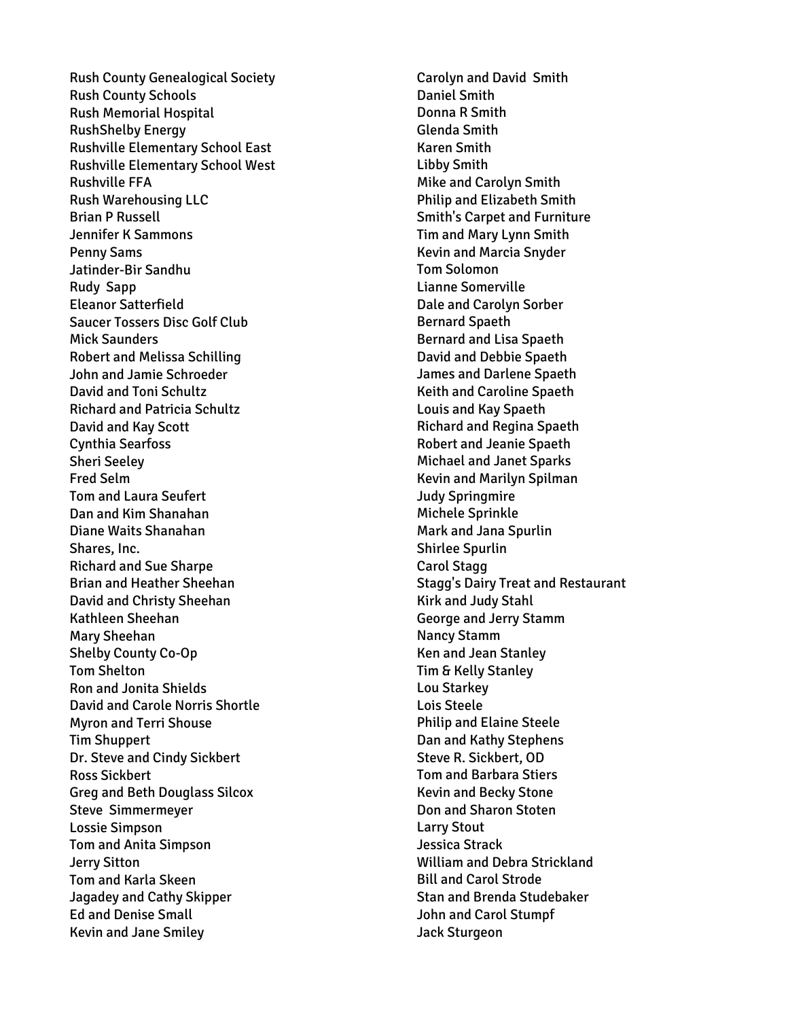Rush County Genealogical Society Rush County Schools Rush Memorial Hospital RushShelby Energy Rushville Elementary School East Rushville Elementary School West Rushville FFA Rush Warehousing LLC Brian P Russell Jennifer K Sammons Penny Sams Jatinder -Bir Sandhu Rudy Sapp Eleanor Satterfield Saucer Tossers Disc Golf Club Mick Saunders Robert and Melissa Schilling John and Jamie Schroeder David and Toni Schultz Richard and Patricia Schultz David and Kay Scott Cynthia Searfoss Sheri Seeley Fred Selm Tom and Laura Seufert Dan and Kim Shanahan Diane Waits Shanahan Shares, Inc. Richard and Sue Sharpe Brian and Heather Sheehan David and Christy Sheehan Kathleen Sheehan Mary Sheehan Shelby County Co -Op Tom Shelton Ron and Jonita Shields David and Carole Norris Shortle Myron and Terri Shouse Tim Shuppert Dr. Steve and Cindy Sickbert Ross Sickbert Greg and Beth Douglass Silcox Steve Simmermeyer Lossie Simpson Tom and Anita Simpson Jerry Sitton Tom and Karla Skeen Jagadey and Cathy Skipper Ed and Denise Small Kevin and Jane Smiley

Carolyn and David Smith Daniel Smith Donna R Smith Glenda Smith Karen Smith Libby Smith Mike and Carolyn Smith Philip and Elizabeth Smith Smith's Carpet and Furniture Tim and Mary Lynn Smith Kevin and Marcia Snyder Tom Solomon Lianne Somerville Dale and Carolyn Sorber Bernard Spaeth Bernard and Lisa Spaeth David and Debbie Spaeth James and Darlene Spaeth Keith and Caroline Spaeth Louis and Kay Spaeth Richard and Regina Spaeth Robert and Jeanie Spaeth Michael and Janet Sparks Kevin and Marilyn Spilman Judy Springmire Michele Sprinkle Mark and Jana Spurlin Shirlee Spurlin Carol Stagg Stagg's Dairy Treat and Restaurant Kirk and Judy Stahl George and Jerry Stamm Nancy Stamm Ken and Jean Stanley Tim & Kelly Stanley Lou Starkey Lois Steele Philip and Elaine Steele Dan and Kathy Stephens Steve R. Sickbert, OD Tom and Barbara Stiers Kevin and Becky Stone Don and Sharon Stoten Larry Stout Jessica Strack William and Debra Strickland Bill and Carol Strode Stan and Brenda Studebaker John and Carol Stumpf Jack Sturgeon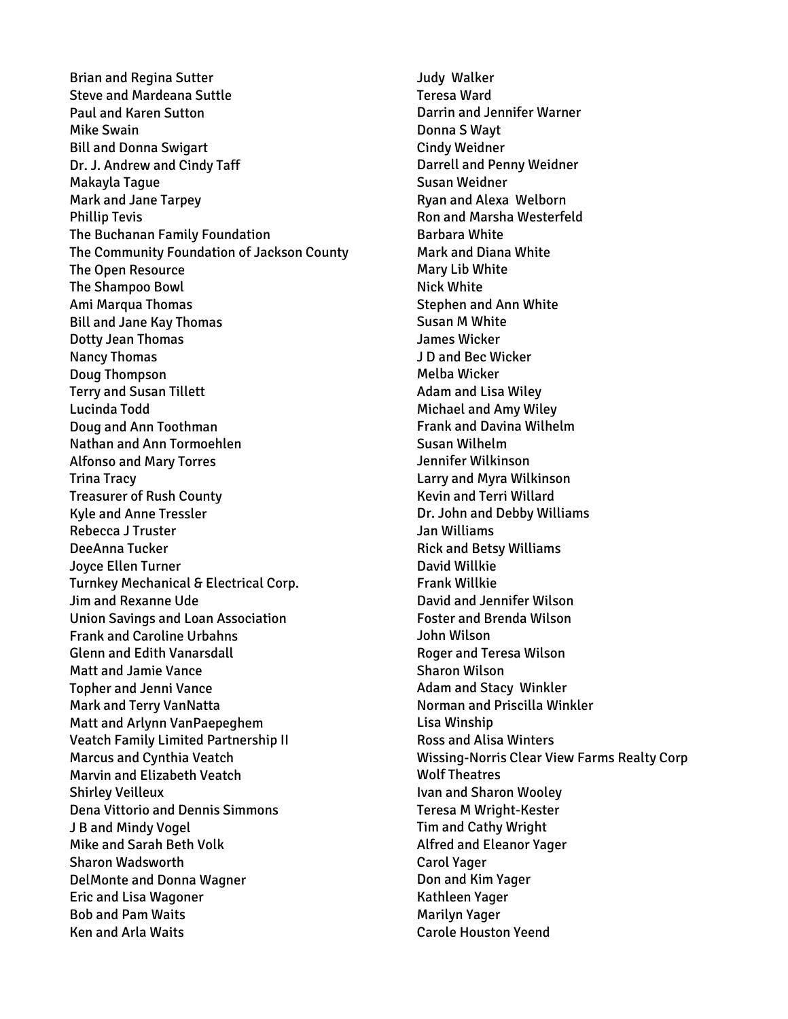Brian and Regina Sutter Steve and Mardeana Suttle Paul and Karen Sutton Mike Swain Bill and Donna Swigart Dr. J. Andrew and Cindy Taff Makayla Tague Mark and Jane Tarpey Phillip Tevis The Buchanan Family Foundation The Community Foundation of Jackson County The Open Resource The Shampoo Bowl Ami Marqua Thomas Bill and Jane Kay Thomas Dotty Jean Thomas Nancy Thomas Doug Thompson Terry and Susan Tillett Lucinda Todd Doug and Ann Toothman Nathan and Ann Tormoehlen Alfonso and Mary Torres Trina Tracy Treasurer of Rush County Kyle and Anne Tressler Rebecca J Truster DeeAnna Tucker Joyce Ellen Turner Turnkey Mechanical & Electrical Corp. Jim and Rexanne Ude Union Savings and Loan Association Frank and Caroline Urbahns Glenn and Edith Vanarsdall Matt and Jamie Vance Topher and Jenni Vance Mark and Terry VanNatta Matt and Arlynn VanPaepeghem Veatch Family Limited Partnership II Marcus and Cynthia Veatch Marvin and Elizabeth Veatch Shirley Veilleux Dena Vittorio and Dennis Simmons J B and Mindy Vogel Mike and Sarah Beth Volk Sharon Wadsworth DelMonte and Donna Wagner Eric and Lisa Wagoner Bob and Pam Waits Ken and Arla Waits

Judy Walker Teresa Ward Darrin and Jennifer Warner Donna S Wayt Cindy Weidner Darrell and Penny Weidner Susan Weidner Ryan and Alexa Welborn Ron and Marsha Westerfeld Barbara White Mark and Diana White Mary Lib White Nick White Stephen and Ann White Susan M White James Wicker J D and Bec Wicker Melba Wicker Adam and Lisa Wiley Michael and Amy Wiley Frank and Davina Wilhelm Susan Wilhelm Jennifer Wilkinson Larry and Myra Wilkinson Kevin and Terri Willard Dr. John and Debby Williams Jan Williams Rick and Betsy Williams David Willkie Frank Willkie David and Jennifer Wilson Foster and Brenda Wilson John Wilson Roger and Teresa Wilson Sharon Wilson Adam and Stacy Winkler Norman and Priscilla Winkler Lisa Winship Ross and Alisa Winters Wissing-Norris Clear View Farms Realty Corp Wolf Theatres Ivan and Sharon Wooley Teresa M Wright-Kester Tim and Cathy Wright Alfred and Eleanor Yager Carol Yager Don and Kim Yager Kathleen Yager Marilyn Yager Carole Houston Yeend